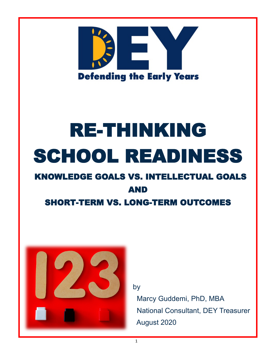

## RE-THINKING SCHOOL READINESS

## KNOWLEDGE GOALS VS. INTELLECTUAL GOALS AND

SHORT-TERM VS. LONG-TERM OUTCOMES



by

 Marcy Guddemi, PhD, MBA National Consultant, DEY Treasurer August 2020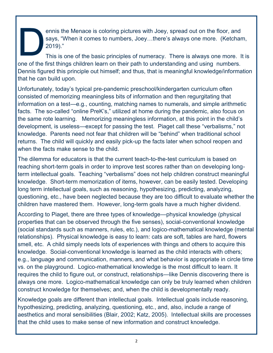ennis the Menace is coloring pictures with Joey, spread out on the floor, and says, "When it comes to numbers, Joey…there's always one more. (Ketcham, 2019)."

This is one of the basic principles of numeracy. There is always one more. It is one of the first things children learn on their path to understanding and using numbers. Dennis figured this principle out himself; and thus, that is meaningful knowledge/information that he can build upon.

Unfortunately, today's typical pre-pandemic preschool/kindergarten curriculum often consisted of memorizing meaningless bits of information and then regurgitating that information on a test—e.g., counting, matching names to numerals, and simple arithmetic facts. The so-called "online PreK's," utilized at home during the pandemic, also focus on the same rote learning. Memorizing meaningless information, at this point in the child's development, is useless—except for passing the test. Piaget call these "verbalisms," not knowledge. Parents need not fear that children will be "behind" when traditional school returns. The child will quickly and easily pick-up the facts later when school reopen and when the facts make sense to the child.

The dilemma for educators is that the current teach-to-the-test curriculum is based on reaching short-term goals in order to improve test scores rather than on developing longterm intellectual goals. Teaching "verbalisms" does not help children construct meaningful knowledge. Short-term memorization of items, however, can be easily tested. Developing long term intellectual goals, such as reasoning, hypothesizing, predicting, analyzing, questioning, etc., have been neglected because they are too difficult to evaluate whether the children have mastered them. However, long-term goals have a much higher dividend.

According to Piaget, there are three types of knowledge—physical knowledge (physical properties that can be observed through the five senses), social-conventional knowledge (social standards such as manners, rules, etc.), and logico-mathematical knowledge (mental relationships). Physical knowledge is easy to learn: cats are soft, tables are hard, flowers smell, etc. A child simply needs lots of experiences with things and others to acquire this knowledge. Social-conventional knowledge is learned as the child interacts with others; e.g., language and communication, manners, and what behavior is appropriate in circle time vs. on the playground. Logico-mathematical knowledge is the most difficult to learn. It requires the child to figure out, or construct, relationships—like Dennis discovering there is always one more. Logico-mathematical knowledge can only be truly learned when children construct knowledge for themselves; and, when the child is developmentally ready.

Knowledge goals are different than intellectual goals. Intellectual goals include reasoning, hypothesizing, predicting, analyzing, questioning, etc., and, also, include a range of aesthetics and moral sensibilities (Blair, 2002; Katz, 2005). Intellectual skills are processes that the child uses to make sense of new information and construct knowledge.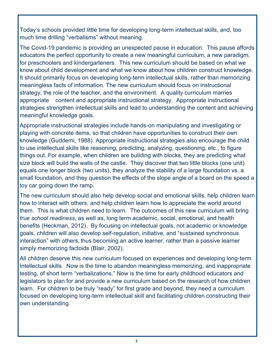Today's schools provided little time for developing long-term intellectual skills, and, too much time drilling "verbalisms" without meaning.

The Covid-19 pandemic is providing an unexpected pause in education. This pause affords educators the perfect opportunity to create a new meaningful curriculum, a new paradigm, for preschoolers and kindergarteners. This new curriculum should be based on what we know about child development and what we know about how children construct knowledge. It should primarily focus on developing long-term intellectual skills, rather than memorizing meaningless facts of information. The new curriculum should focus on instructional strategy, the role of the teacher, and the environment. A quality curriculum marries appropriate content and appropriate instructional strategy. Appropriate instructional strategies strengthen intellectual skills and lead to understanding the content and achieving meaningful knowledge goals.

Appropriate instructional strategies include hands-on manipulating and investigating or playing with concrete items, so that children have opportunities to construct their own knowledge (Guddemi, 1988). Appropriate instructional strategies also encourage the child to use intellectual skills like reasoning, predicting, analyzing, questioning, etc., to figure things out. For example, when children are building with blocks, they are predicting what size block will build the walls of the castle. They discover that two little blocks (one unit) equals one longer block (two units), they analyze the stability of a large foundation vs. a small foundation, and they question the effects of the slope angle of a board on the speed a toy car going down the ramp.

The new curriculum should also help develop social and emotional skills, help children learn how to interact with others, and help children learn how to appreciate the world around them. This is what children need to learn. The outcomes of this new curriculum will bring *true school readiness*, as well as, long term academic, social, emotional, and health benefits (Heckman, 2012). By focusing on intellectual goals, not academic or knowledge goals, children will also develop self-regulation, initiative, and "sustained synchronous interaction" with others, thus becoming an active learner, rather than a passive learner simply memorizing factoids (Blair, 2002).

All children deserve this new curriculum focused on experiences and developing long-term Intellectual skills. Now is the time to abandon meaningless memorizing, and inappropriate testing, of short term "verbalizations." Now is the time for early childhood educators and legislators to plan for and provide a new curriculum based on the research of how children learn. For children to be truly "ready" for first grade and beyond, they need a curriculum focused on developing long-term intellectual skill and facilitating children constructing their own understanding.